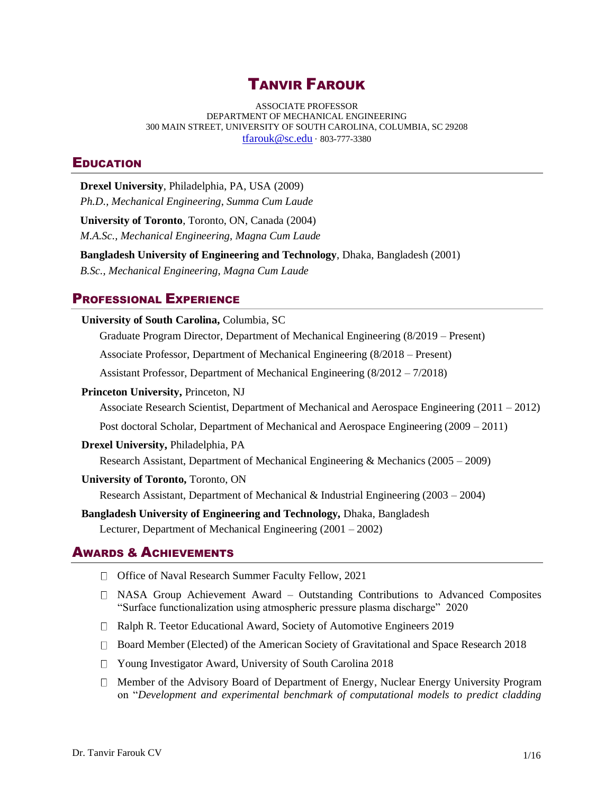# TANVIR FAROUK

ASSOCIATE PROFESSOR DEPARTMENT OF MECHANICAL ENGINEERING 300 MAIN STREET, UNIVERSITY OF SOUTH CAROLINA, COLUMBIA, SC 29208 [tfarouk@sc.edu](mailto:farouk@sc.edu) · 803-777-3380

## **EDUCATION**

**Drexel University**, Philadelphia, PA, USA (2009) *Ph.D., Mechanical Engineering*, *Summa Cum Laude* **University of Toronto**, Toronto, ON, Canada (2004) *M.A.Sc., Mechanical Engineering, Magna Cum Laude* **Bangladesh University of Engineering and Technology**, Dhaka, Bangladesh (2001) *B.Sc., Mechanical Engineering*, *Magna Cum Laude* PROFESSIONAL EXPERIENCE **University of South Carolina,** Columbia, SC Graduate Program Director, Department of Mechanical Engineering (8/2019 – Present) Associate Professor, Department of Mechanical Engineering (8/2018 – Present) Assistant Professor, Department of Mechanical Engineering (8/2012 – 7/2018) **Princeton University,** Princeton, NJ Associate Research Scientist, Department of Mechanical and Aerospace Engineering (2011 – 2012) Post doctoral Scholar, Department of Mechanical and Aerospace Engineering (2009 – 2011) **Drexel University,** Philadelphia, PA Research Assistant, Department of Mechanical Engineering & Mechanics (2005 – 2009) **University of Toronto,** Toronto, ON Research Assistant, Department of Mechanical & Industrial Engineering (2003 – 2004) **Bangladesh University of Engineering and Technology,** Dhaka, Bangladesh Lecturer, Department of Mechanical Engineering (2001 – 2002)

## AWARDS & ACHIEVEMENTS

- □ Office of Naval Research Summer Faculty Fellow, 2021
- NASA Group Achievement Award Outstanding Contributions to Advanced Composites "Surface functionalization using atmospheric pressure plasma discharge" 2020
- Ralph R. Teetor Educational Award, Society of Automotive Engineers 2019
- □ Board Member (Elected) of the American Society of Gravitational and Space Research 2018
- Young Investigator Award, University of South Carolina 2018
- $\Box$  Member of the Advisory Board of Department of Energy, Nuclear Energy University Program on "*Development and experimental benchmark of computational models to predict cladding*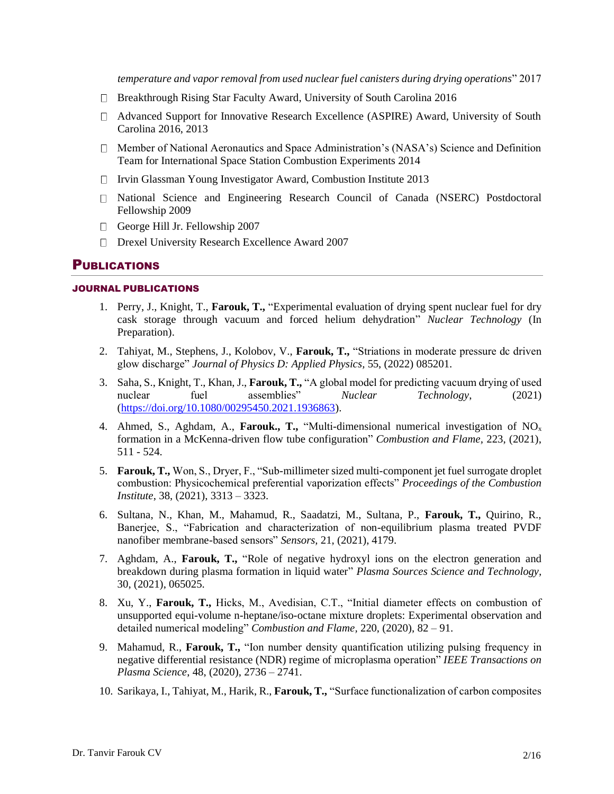*temperature and vapor removal from used nuclear fuel canisters during drying operations*" 2017

- Breakthrough Rising Star Faculty Award, University of South Carolina 2016
- Advanced Support for Innovative Research Excellence (ASPIRE) Award, University of South Carolina 2016, 2013
- Member of National Aeronautics and Space Administration's (NASA's) Science and Definition Team for International Space Station Combustion Experiments 2014
- $\Box$  Irvin Glassman Young Investigator Award, Combustion Institute 2013
- National Science and Engineering Research Council of Canada (NSERC) Postdoctoral Fellowship 2009
- George Hill Jr. Fellowship 2007
- Drexel University Research Excellence Award 2007

## PUBLICATIONS

### JOURNAL PUBLICATIONS

- 1. Perry, J., Knight, T., **Farouk, T.,** "Experimental evaluation of drying spent nuclear fuel for dry cask storage through vacuum and forced helium dehydration" *Nuclear Technology* (In Preparation).
- 2. Tahiyat, M., Stephens, J., Kolobov, V., **Farouk, T.,** "Striations in moderate pressure dc driven glow discharge" *Journal of Physics D: Applied Physics,* 55, (2022) 085201.
- 3. Saha, S., Knight, T., Khan, J., **Farouk, T.,** "A global model for predicting vacuum drying of used nuclear fuel assemblies" *Nuclear Technology*, (2021) [\(https://doi.org/10.1080/00295450.2021.1936863\)](https://doi.org/10.1080/00295450.2021.1936863).
- 4. Ahmed, S., Aghdam, A., **Farouk., T.,** "Multi-dimensional numerical investigation of NO<sup>x</sup> formation in a McKenna-driven flow tube configuration" *Combustion and Flame,* 223, (2021), 511 - 524.
- 5. **Farouk, T.,** Won, S., Dryer, F., "Sub-millimeter sized multi-component jet fuel surrogate droplet combustion: Physicochemical preferential vaporization effects" *Proceedings of the Combustion Institute*, 38, (2021), 3313 – 3323.
- 6. Sultana, N., Khan, M., Mahamud, R., Saadatzi, M., Sultana, P., **Farouk, T.,** Quirino, R., Banerjee, S., "Fabrication and characterization of non-equilibrium plasma treated PVDF nanofiber membrane-based sensors" *Sensors,* 21, (2021), 4179.
- 7. Aghdam, A., **Farouk, T.,** "Role of negative hydroxyl ions on the electron generation and breakdown during plasma formation in liquid water" *Plasma Sources Science and Technology,*  30, (2021), 065025.
- 8. Xu, Y., **Farouk, T.,** Hicks, M., Avedisian, C.T., "Initial diameter effects on combustion of unsupported equi-volume n-heptane/iso-octane mixture droplets: Experimental observation and detailed numerical modeling" *Combustion and Flame,* 220, (2020), 82 – 91.
- 9. Mahamud, R., **Farouk, T.,** "Ion number density quantification utilizing pulsing frequency in negative differential resistance (NDR) regime of microplasma operation" *IEEE Transactions on Plasma Science*, 48, (2020), 2736 – 2741.
- 10. Sarikaya, I., Tahiyat, M., Harik, R., **Farouk, T.,** "Surface functionalization of carbon composites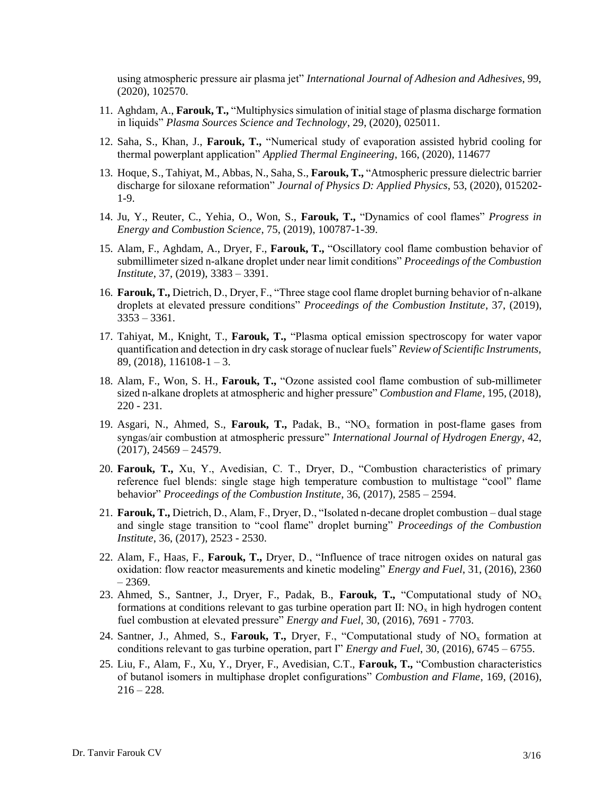using atmospheric pressure air plasma jet" *International Journal of Adhesion and Adhesives*, 99, (2020), 102570.

- 11. Aghdam, A., **Farouk, T.,** "Multiphysics simulation of initial stage of plasma discharge formation in liquids" *Plasma Sources Science and Technology*, 29, (2020), 025011.
- 12. Saha, S., Khan, J., **Farouk, T.,** "Numerical study of evaporation assisted hybrid cooling for thermal powerplant application" *Applied Thermal Engineering*, 166, (2020), 114677
- 13. Hoque, S., Tahiyat, M., Abbas, N., Saha, S., **Farouk, T.,** "Atmospheric pressure dielectric barrier discharge for siloxane reformation" *Journal of Physics D: Applied Physics*, 53, (2020), 015202- 1-9.
- 14. Ju, Y., Reuter, C., Yehia, O., Won, S., **Farouk, T.,** "Dynamics of cool flames" *Progress in Energy and Combustion Science*, 75, (2019), 100787-1-39.
- 15. Alam, F., Aghdam, A., Dryer, F., **Farouk, T.,** "Oscillatory cool flame combustion behavior of submillimeter sized n-alkane droplet under near limit conditions" *Proceedings of the Combustion Institute*, 37, (2019), 3383 – 3391.
- 16. **Farouk, T.,** Dietrich, D., Dryer, F., "Three stage cool flame droplet burning behavior of n-alkane droplets at elevated pressure conditions" *Proceedings of the Combustion Institute*, 37, (2019),  $3353 - 3361$ .
- 17. Tahiyat, M., Knight, T., **Farouk, T.,** "Plasma optical emission spectroscopy for water vapor quantification and detection in dry cask storage of nuclear fuels" *Review of Scientific Instruments,*  89, (2018),  $116108 - 1 - 3$ .
- 18. Alam, F., Won, S. H., **Farouk, T.,** "Ozone assisted cool flame combustion of sub-millimeter sized n-alkane droplets at atmospheric and higher pressure" *Combustion and Flame,* 195, (2018), 220 - 231*.*
- 19. Asgari, N., Ahmed, S., **Farouk, T.,** Padak, B., "NO<sup>x</sup> formation in post-flame gases from syngas/air combustion at atmospheric pressure" *International Journal of Hydrogen Energy*, 42,  $(2017), 24569 - 24579.$
- 20. **Farouk, T.,** Xu, Y., Avedisian, C. T., Dryer, D., "Combustion characteristics of primary reference fuel blends: single stage high temperature combustion to multistage "cool" flame behavior" *Proceedings of the Combustion Institute*, 36, (2017), 2585 – 2594.
- 21. **Farouk, T.,** Dietrich, D., Alam, F., Dryer, D., "Isolated n-decane droplet combustion dual stage and single stage transition to "cool flame" droplet burning" *Proceedings of the Combustion Institute*, 36, (2017), 2523 - 2530.
- 22. Alam, F., Haas, F., **Farouk, T.,** Dryer, D., "Influence of trace nitrogen oxides on natural gas oxidation: flow reactor measurements and kinetic modeling" *Energy and Fuel*, 31, (2016), 2360 – 2369.
- 23. Ahmed, S., Santner, J., Dryer, F., Padak, B., **Farouk, T.,** "Computational study of NO<sup>x</sup> formations at conditions relevant to gas turbine operation part  $II: NO<sub>x</sub>$  in high hydrogen content fuel combustion at elevated pressure" *Energy and Fuel*, 30, (2016), 7691 - 7703.
- 24. Santner, J., Ahmed, S., **Farouk, T.,** Dryer, F., "Computational study of NO<sup>x</sup> formation at conditions relevant to gas turbine operation, part I" *Energy and Fuel*, 30, (2016), 6745 – 6755.
- 25. Liu, F., Alam, F., Xu, Y., Dryer, F., Avedisian, C.T., **Farouk, T.,** "Combustion characteristics of butanol isomers in multiphase droplet configurations" *Combustion and Flame*, 169, (2016),  $216 - 228.$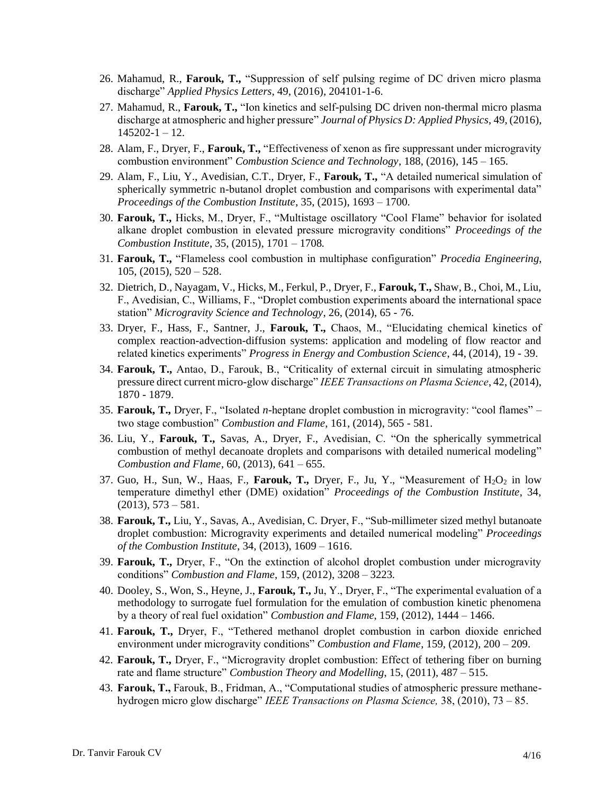- 26. Mahamud, R., **Farouk, T.,** "Suppression of self pulsing regime of DC driven micro plasma discharge" *Applied Physics Letters*, 49, (2016), 204101-1-6.
- 27. Mahamud, R., **Farouk, T.,** "Ion kinetics and self-pulsing DC driven non-thermal micro plasma discharge at atmospheric and higher pressure" *Journal of Physics D: Applied Physics*, 49, (2016), 145202-1 – 12.
- 28. Alam, F., Dryer, F., **Farouk, T.,** "Effectiveness of xenon as fire suppressant under microgravity combustion environment" *Combustion Science and Technology*, 188, (2016), 145 – 165.
- 29. Alam, F., Liu, Y., Avedisian, C.T., Dryer, F., **Farouk, T.,** "A detailed numerical simulation of spherically symmetric n-butanol droplet combustion and comparisons with experimental data" *Proceedings of the Combustion Institute*, 35, (2015), 1693 – 1700.
- 30. **Farouk, T.,** Hicks, M., Dryer, F., "Multistage oscillatory "Cool Flame" behavior for isolated alkane droplet combustion in elevated pressure microgravity conditions" *Proceedings of the Combustion Institute*, 35, (2015), 1701 – 1708*.*
- 31. **Farouk, T.,** "Flameless cool combustion in multiphase configuration" *Procedia Engineering*,  $105, (2015), 520 - 528.$
- 32. Dietrich, D., Nayagam, V., Hicks, M., Ferkul, P., Dryer, F., **Farouk, T.,** Shaw, B., Choi, M., Liu, F., Avedisian, C., Williams, F., "Droplet combustion experiments aboard the international space station" *Microgravity Science and Technology*, 26, (2014), 65 - 76.
- 33. Dryer, F., Hass, F., Santner, J., **Farouk, T.,** Chaos, M., "Elucidating chemical kinetics of complex reaction-advection-diffusion systems: application and modeling of flow reactor and related kinetics experiments" *Progress in Energy and Combustion Science*, 44, (2014), 19 - 39.
- 34. **Farouk, T.,** Antao, D., Farouk, B., "Criticality of external circuit in simulating atmospheric pressure direct current micro-glow discharge" *IEEE Transactions on Plasma Science*, 42, (2014), 1870 - 1879.
- 35. **Farouk, T.,** Dryer, F., "Isolated *n-*heptane droplet combustion in microgravity: "cool flames" two stage combustion" *Combustion and Flame*, 161, (2014), 565 - 581.
- 36. Liu, Y., **Farouk, T.,** Savas, A., Dryer, F., Avedisian, C. "On the spherically symmetrical combustion of methyl decanoate droplets and comparisons with detailed numerical modeling" *Combustion and Flame*, 60, (2013), 641 – 655.
- 37. Guo, H., Sun, W., Haas, F., Farouk, T., Dryer, F., Ju, Y., "Measurement of  $H_2O_2$  in low temperature dimethyl ether (DME) oxidation" *Proceedings of the Combustion Institute*, 34,  $(2013), 573 - 581.$
- 38. **Farouk, T.,** Liu, Y., Savas, A., Avedisian, C. Dryer, F., "Sub-millimeter sized methyl butanoate droplet combustion: Microgravity experiments and detailed numerical modeling" *Proceedings of the Combustion Institute*, 34, (2013), 1609 – 1616.
- 39. **Farouk, T.,** Dryer, F., "On the extinction of alcohol droplet combustion under microgravity conditions" *Combustion and Flame*, 159, (2012), 3208 – 3223*.*
- 40. Dooley, S., Won, S., Heyne, J., **Farouk, T.,** Ju, Y., Dryer, F., "The experimental evaluation of a methodology to surrogate fuel formulation for the emulation of combustion kinetic phenomena by a theory of real fuel oxidation" *Combustion and Flame*, 159, (2012), 1444 – 1466.
- 41. **Farouk, T.,** Dryer, F., "Tethered methanol droplet combustion in carbon dioxide enriched environment under microgravity conditions" *Combustion and Flame*, 159, (2012), 200 – 209.
- 42. **Farouk, T.,** Dryer, F., "Microgravity droplet combustion: Effect of tethering fiber on burning rate and flame structure" *Combustion Theory and Modelling*, 15, (2011), 487 – 515.
- 43. **Farouk, T.,** Farouk, B., Fridman, A., "Computational studies of atmospheric pressure methanehydrogen micro glow discharge" *IEEE Transactions on Plasma Science,* 38, (2010), 73 – 85.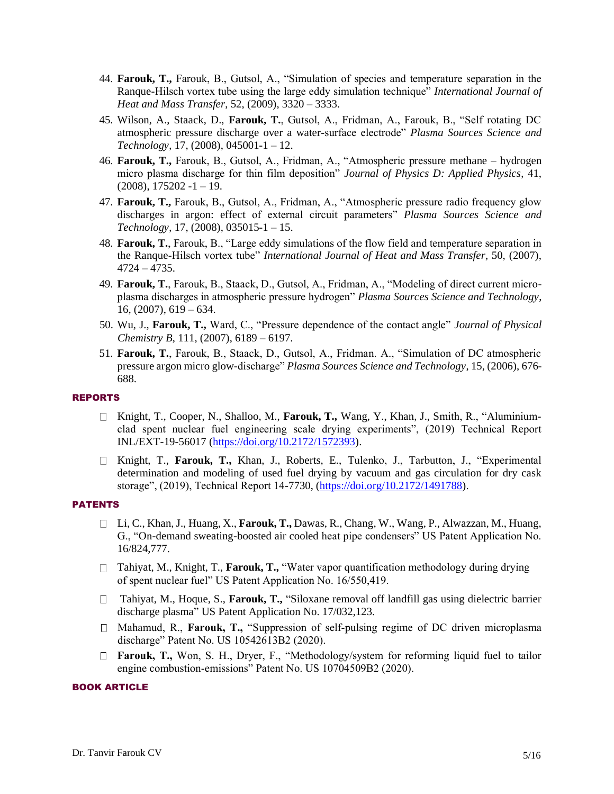- 44. **Farouk, T.,** Farouk, B., Gutsol, A., "Simulation of species and temperature separation in the Ranque-Hilsch vortex tube using the large eddy simulation technique" *International Journal of Heat and Mass Transfer*, 52, (2009), 3320 – 3333.
- 45. Wilson, A., Staack, D., **Farouk, T.**, Gutsol, A., Fridman, A., Farouk, B., "Self rotating DC atmospheric pressure discharge over a water-surface electrode" *Plasma Sources Science and Technology*, 17, (2008), 045001-1 – 12.
- 46. **Farouk, T.,** Farouk, B., Gutsol, A., Fridman, A., "Atmospheric pressure methane hydrogen micro plasma discharge for thin film deposition" *Journal of Physics D: Applied Physics*, 41,  $(2008), 175202 -1 - 19.$
- 47. **Farouk, T.,** Farouk, B., Gutsol, A., Fridman, A., "Atmospheric pressure radio frequency glow discharges in argon: effect of external circuit parameters" *Plasma Sources Science and Technology*, 17, (2008), 035015-1 – 15.
- 48. **Farouk, T.**, Farouk, B., "Large eddy simulations of the flow field and temperature separation in the Ranque-Hilsch vortex tube" *International Journal of Heat and Mass Transfer*, 50, (2007), 4724 – 4735.
- 49. **Farouk, T.**, Farouk, B., Staack, D., Gutsol, A., Fridman, A., "Modeling of direct current microplasma discharges in atmospheric pressure hydrogen" *Plasma Sources Science and Technology*,  $16, (2007), 619 - 634.$
- 50. Wu, J., **Farouk, T.,** Ward, C., "Pressure dependence of the contact angle" *Journal of Physical Chemistry B*, 111, (2007), 6189 – 6197.
- 51. **Farouk, T.**, Farouk, B., Staack, D., Gutsol, A., Fridman. A., "Simulation of DC atmospheric pressure argon micro glow-discharge" *Plasma Sources Science and Technology*, 15, (2006), 676- 688.

## REPORTS

- Knight, T., Cooper, N., Shalloo, M., **Farouk, T.,** Wang, Y., Khan, J., Smith, R., "Aluminiumclad spent nuclear fuel engineering scale drying experiments", (2019) Technical Report INL/EXT-19-56017 [\(https://doi.org/10.2172/1572393\)](https://doi.org/10.2172/1572393).
- Knight, T., **Farouk, T.,** Khan, J., Roberts, E., Tulenko, J., Tarbutton, J., "Experimental determination and modeling of used fuel drying by vacuum and gas circulation for dry cask storage", (2019), Technical Report 14-7730, [\(https://doi.org/10.2172/1491788\)](https://doi.org/10.2172/1491788).

#### PATENTS

- Li, C., Khan, J., Huang, X., **Farouk, T.,** Dawas, R., Chang, W., Wang, P., Alwazzan, M., Huang, G., "On-demand sweating-boosted air cooled heat pipe condensers" US Patent Application No. 16/824,777.
- □ Tahiyat, M., Knight, T., Farouk, T., "Water vapor quantification methodology during drying of spent nuclear fuel" US Patent Application No. 16/550,419.
- □ Tahiyat, M., Hoque, S., **Farouk, T.,** "Siloxane removal off landfill gas using dielectric barrier discharge plasma" US Patent Application No. 17/032,123.
- Mahamud, R., **Farouk, T.,** "Suppression of self-pulsing regime of DC driven microplasma discharge" Patent No. US 10542613B2 (2020).
- **Farouk, T.,** Won, S. H., Dryer, F., "Methodology/system for reforming liquid fuel to tailor engine combustion-emissions" Patent No. US 10704509B2 (2020).

#### BOOK ARTICLE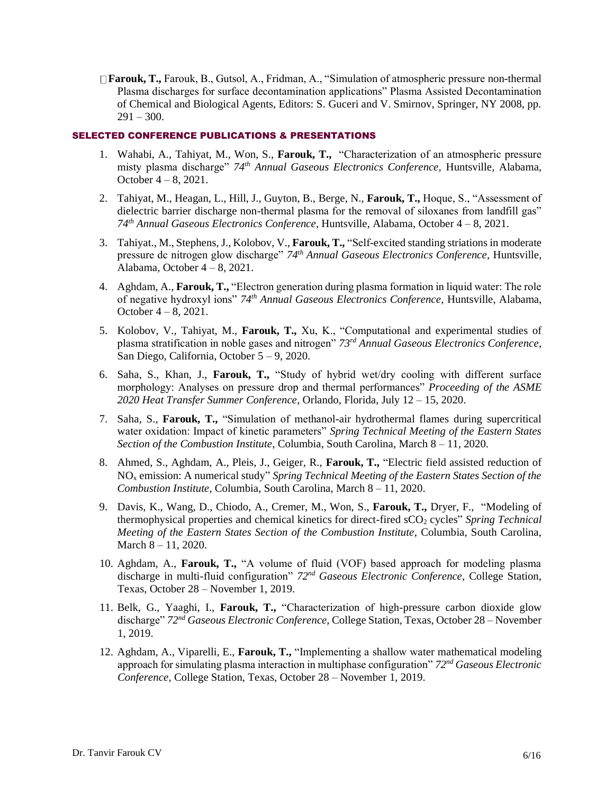**Farouk, T.,** Farouk, B., Gutsol, A., Fridman, A., "Simulation of atmospheric pressure non-thermal Plasma discharges for surface decontamination applications" Plasma Assisted Decontamination of Chemical and Biological Agents, Editors: S. Guceri and V. Smirnov, Springer, NY 2008, pp.  $291 - 300.$ 

#### SELECTED CONFERENCE PUBLICATIONS & PRESENTATIONS

- 1. Wahabi, A., Tahiyat, M., Won, S., **Farouk, T.,** "Characterization of an atmospheric pressure misty plasma discharge" *74th Annual Gaseous Electronics Conference,* Huntsville, Alabama, October 4 – 8, 2021.
- 2. Tahiyat, M., Heagan, L., Hill, J., Guyton, B., Berge, N., **Farouk, T.,** Hoque, S., "Assessment of dielectric barrier discharge non-thermal plasma for the removal of siloxanes from landfill gas" *74th Annual Gaseous Electronics Conference,* Huntsville, Alabama, October 4 – 8, 2021.
- 3. Tahiyat., M., Stephens, J., Kolobov, V., **Farouk, T.,** "Self-excited standing striations in moderate pressure dc nitrogen glow discharge" *74th Annual Gaseous Electronics Conference,* Huntsville, Alabama, October  $4 - 8$ , 2021.
- 4. Aghdam, A., **Farouk, T.,** "Electron generation during plasma formation in liquid water: The role of negative hydroxyl ions" *74th Annual Gaseous Electronics Conference,* Huntsville, Alabama, October 4 – 8, 2021.
- 5. Kolobov, V., Tahiyat, M., **Farouk, T.,** Xu, K., "Computational and experimental studies of plasma stratification in noble gases and nitrogen" *73rd Annual Gaseous Electronics Conference,* San Diego, California, October 5 – 9, 2020.
- 6. Saha, S., Khan, J., **Farouk, T.,** "Study of hybrid wet/dry cooling with different surface morphology: Analyses on pressure drop and thermal performances" *Proceeding of the ASME 2020 Heat Transfer Summer Conference*, Orlando, Florida, July 12 – 15, 2020.
- 7. Saha, S., **Farouk, T.,** "Simulation of methanol-air hydrothermal flames during supercritical water oxidation: Impact of kinetic parameters" *Spring Technical Meeting of the Eastern States Section of the Combustion Institute*, Columbia, South Carolina, March 8 – 11, 2020.
- 8. Ahmed, S., Aghdam, A., Pleis, J., Geiger, R., **Farouk, T.,** "Electric field assisted reduction of NO<sup>x</sup> emission: A numerical study" *Spring Technical Meeting of the Eastern States Section of the Combustion Institute*, Columbia, South Carolina, March 8 – 11, 2020.
- 9. Davis, K., Wang, D., Chiodo, A., Cremer, M., Won, S., **Farouk, T.,** Dryer, F., "Modeling of thermophysical properties and chemical kinetics for direct-fired sCO<sup>2</sup> cycles" *Spring Technical Meeting of the Eastern States Section of the Combustion Institute*, Columbia, South Carolina, March 8 – 11, 2020.
- 10. Aghdam, A., **Farouk, T.,** "A volume of fluid (VOF) based approach for modeling plasma discharge in multi-fluid configuration" *72nd Gaseous Electronic Conference,* College Station, Texas, October 28 – November 1, 2019.
- 11. Belk, G., Yaaghi, I., **Farouk, T.,** "Characterization of high-pressure carbon dioxide glow discharge" *72nd Gaseous Electronic Conference,* College Station, Texas, October 28 – November 1, 2019.
- 12. Aghdam, A., Viparelli, E., **Farouk, T.,** "Implementing a shallow water mathematical modeling approach for simulating plasma interaction in multiphase configuration" *72nd Gaseous Electronic Conference,* College Station, Texas, October 28 – November 1, 2019.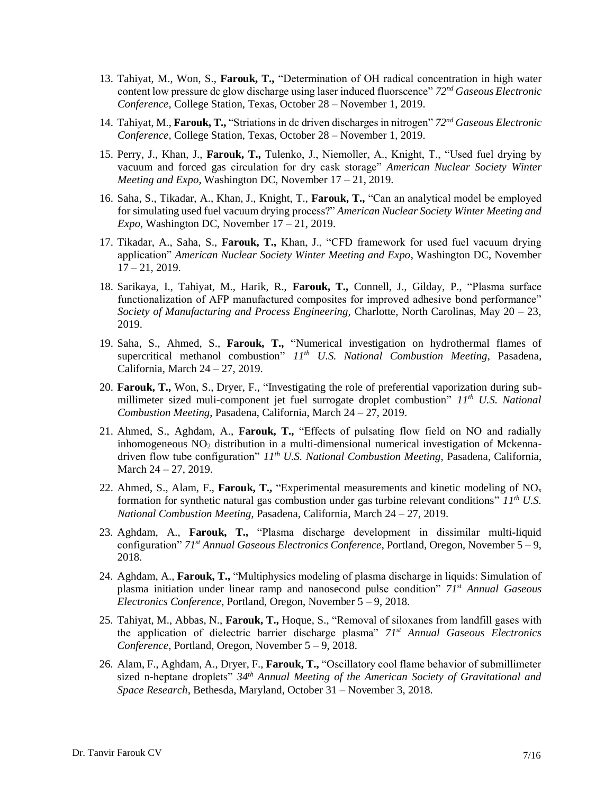- 13. Tahiyat, M., Won, S., **Farouk, T.,** "Determination of OH radical concentration in high water content low pressure dc glow discharge using laser induced fluorscence" *72nd Gaseous Electronic Conference,* College Station, Texas, October 28 – November 1, 2019.
- 14. Tahiyat, M., **Farouk, T.,** "Striations in dc driven discharges in nitrogen" *72nd Gaseous Electronic Conference,* College Station, Texas, October 28 – November 1, 2019.
- 15. Perry, J., Khan, J., **Farouk, T.,** Tulenko, J., Niemoller, A., Knight, T., "Used fuel drying by vacuum and forced gas circulation for dry cask storage" *American Nuclear Society Winter Meeting and Expo*, Washington DC, November 17 – 21, 2019.
- 16. Saha, S., Tikadar, A., Khan, J., Knight, T., **Farouk, T.,** "Can an analytical model be employed for simulating used fuel vacuum drying process?" *American Nuclear Society Winter Meeting and Expo*, Washington DC, November 17 – 21, 2019.
- 17. Tikadar, A., Saha, S., **Farouk, T.,** Khan, J., "CFD framework for used fuel vacuum drying application" *American Nuclear Society Winter Meeting and Expo*, Washington DC, November  $17 - 21$ , 2019.
- 18. Sarikaya, I., Tahiyat, M., Harik, R., **Farouk, T.,** Connell, J., Gilday, P., "Plasma surface functionalization of AFP manufactured composites for improved adhesive bond performance" *Society of Manufacturing and Process Engineering,* Charlotte, North Carolinas, May 20 – 23, 2019.
- 19. Saha, S., Ahmed, S., **Farouk, T.,** "Numerical investigation on hydrothermal flames of supercritical methanol combustion" *11th U.S. National Combustion Meeting*, Pasadena, California, March 24 – 27, 2019.
- 20. **Farouk, T.,** Won, S., Dryer, F., "Investigating the role of preferential vaporization during submillimeter sized muli-component jet fuel surrogate droplet combustion" *11th U.S. National Combustion Meeting*, Pasadena, California, March 24 – 27, 2019.
- 21. Ahmed, S., Aghdam, A., **Farouk, T.,** "Effects of pulsating flow field on NO and radially inhomogeneous  $NO<sub>2</sub>$  distribution in a multi-dimensional numerical investigation of Mckennadriven flow tube configuration" *11th U.S. National Combustion Meeting*, Pasadena, California, March 24 – 27, 2019.
- 22. Ahmed, S., Alam, F., **Farouk, T.,** "Experimental measurements and kinetic modeling of NO<sup>x</sup> formation for synthetic natural gas combustion under gas turbine relevant conditions" *11th U.S. National Combustion Meeting*, Pasadena, California, March 24 – 27, 2019.
- 23. Aghdam, A., **Farouk, T.,** "Plasma discharge development in dissimilar multi-liquid configuration" *71st Annual Gaseous Electronics Conference*, Portland, Oregon, November 5 – 9, 2018.
- 24. Aghdam, A., **Farouk, T.,** "Multiphysics modeling of plasma discharge in liquids: Simulation of plasma initiation under linear ramp and nanosecond pulse condition" *71st Annual Gaseous Electronics Conference*, Portland, Oregon, November 5 – 9, 2018.
- 25. Tahiyat, M., Abbas, N., **Farouk, T.,** Hoque, S., "Removal of siloxanes from landfill gases with the application of dielectric barrier discharge plasma" *71st Annual Gaseous Electronics Conference*, Portland, Oregon, November 5 – 9, 2018.
- 26. Alam, F., Aghdam, A., Dryer, F., **Farouk, T.,** "Oscillatory cool flame behavior of submillimeter sized n-heptane droplets" *34th Annual Meeting of the American Society of Gravitational and Space Research*, Bethesda, Maryland, October 31 – November 3, 2018.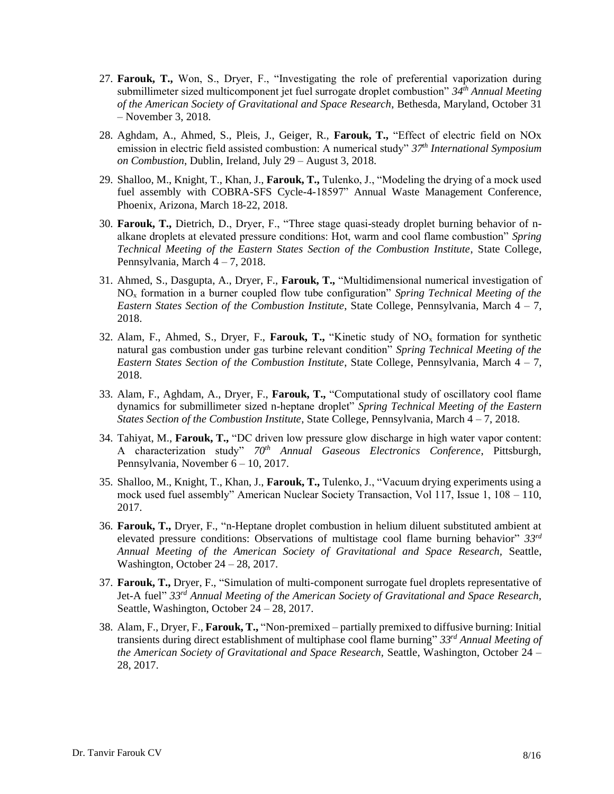- 27. **Farouk, T.,** Won, S., Dryer, F., "Investigating the role of preferential vaporization during submillimeter sized multicomponent jet fuel surrogate droplet combustion" *34th Annual Meeting of the American Society of Gravitational and Space Research*, Bethesda, Maryland, October 31 – November 3, 2018.
- 28. Aghdam, A., Ahmed, S., Pleis, J., Geiger, R., **Farouk, T.,** "Effect of electric field on NOx emission in electric field assisted combustion: A numerical study" *37th International Symposium on Combustion*, Dublin, Ireland, July 29 – August 3, 2018.
- 29. Shalloo, M., Knight, T., Khan, J., **Farouk, T.,** Tulenko, J., "Modeling the drying of a mock used fuel assembly with COBRA-SFS Cycle-4-18597" Annual Waste Management Conference, Phoenix, Arizona, March 18-22, 2018.
- 30. **Farouk, T.,** Dietrich, D., Dryer, F., "Three stage quasi-steady droplet burning behavior of nalkane droplets at elevated pressure conditions: Hot, warm and cool flame combustion" *Spring Technical Meeting of the Eastern States Section of the Combustion Institute*, State College, Pennsylvania, March 4 – 7, 2018.
- 31. Ahmed, S., Dasgupta, A., Dryer, F., **Farouk, T.,** "Multidimensional numerical investigation of NO<sup>x</sup> formation in a burner coupled flow tube configuration" *Spring Technical Meeting of the Eastern States Section of the Combustion Institute*, State College, Pennsylvania, March 4 – 7, 2018.
- 32. Alam, F., Ahmed, S., Dryer, F., **Farouk, T.,** "Kinetic study of NO<sup>x</sup> formation for synthetic natural gas combustion under gas turbine relevant condition" *Spring Technical Meeting of the Eastern States Section of the Combustion Institute*, State College, Pennsylvania, March 4 – 7, 2018.
- 33. Alam, F., Aghdam, A., Dryer, F., **Farouk, T.,** "Computational study of oscillatory cool flame dynamics for submillimeter sized n-heptane droplet" *Spring Technical Meeting of the Eastern States Section of the Combustion Institute*, State College, Pennsylvania, March 4 – 7, 2018.
- 34. Tahiyat, M., **Farouk, T.,** "DC driven low pressure glow discharge in high water vapor content: A characterization study" *70th Annual Gaseous Electronics Conference*, Pittsburgh, Pennsylvania, November 6 – 10, 2017.
- 35. Shalloo, M., Knight, T., Khan, J., **Farouk, T.,** Tulenko, J., "Vacuum drying experiments using a mock used fuel assembly" American Nuclear Society Transaction, Vol 117, Issue 1, 108 – 110, 2017.
- 36. **Farouk, T.,** Dryer, F., "n-Heptane droplet combustion in helium diluent substituted ambient at elevated pressure conditions: Observations of multistage cool flame burning behavior" *33rd Annual Meeting of the American Society of Gravitational and Space Research,* Seattle, Washington, October 24 – 28, 2017.
- 37. **Farouk, T.,** Dryer, F., "Simulation of multi-component surrogate fuel droplets representative of Jet-A fuel" *33rd Annual Meeting of the American Society of Gravitational and Space Research,*  Seattle, Washington, October 24 – 28, 2017.
- 38. Alam, F., Dryer, F., **Farouk, T.,** "Non-premixed partially premixed to diffusive burning: Initial transients during direct establishment of multiphase cool flame burning" *33rd Annual Meeting of the American Society of Gravitational and Space Research,* Seattle, Washington, October 24 – 28, 2017.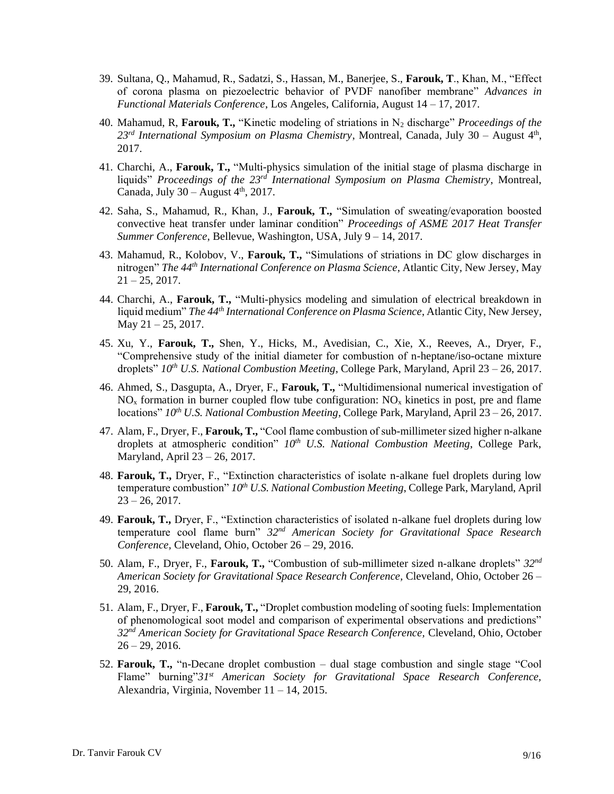- 39. Sultana, Q., Mahamud, R., Sadatzi, S., Hassan, M., Banerjee, S., **Farouk, T**., Khan, M., "Effect of corona plasma on piezoelectric behavior of PVDF nanofiber membrane" *Advances in Functional Materials Conference*, Los Angeles, California, August 14 – 17, 2017.
- 40. Mahamud, R, **Farouk, T.,** "Kinetic modeling of striations in N<sup>2</sup> discharge" *Proceedings of the*  23<sup>rd</sup> International Symposium on Plasma Chemistry, Montreal, Canada, July 30 – August 4<sup>th</sup>, 2017.
- 41. Charchi, A., **Farouk, T.,** "Multi-physics simulation of the initial stage of plasma discharge in liquids" *Proceedings of the 23rd International Symposium on Plasma Chemistry*, Montreal, Canada, July  $30 -$ August  $4<sup>th</sup>$ , 2017.
- 42. Saha, S., Mahamud, R., Khan, J., **Farouk, T.,** "Simulation of sweating/evaporation boosted convective heat transfer under laminar condition" *Proceedings of ASME 2017 Heat Transfer Summer Conference*, Bellevue, Washington, USA, July 9 – 14, 2017.
- 43. Mahamud, R., Kolobov, V., **Farouk, T.,** "Simulations of striations in DC glow discharges in nitrogen" *The 44th International Conference on Plasma Science*, Atlantic City, New Jersey, May  $21 - 25$ , 2017.
- 44. Charchi, A., **Farouk, T.,** "Multi-physics modeling and simulation of electrical breakdown in liquid medium" *The 44th International Conference on Plasma Science*, Atlantic City, New Jersey, May 21 – 25, 2017.
- 45. Xu, Y., **Farouk, T.,** Shen, Y., Hicks, M., Avedisian, C., Xie, X., Reeves, A., Dryer, F., "Comprehensive study of the initial diameter for combustion of n-heptane/iso-octane mixture droplets" *10th U.S. National Combustion Meeting*, College Park, Maryland, April 23 – 26, 2017.
- 46. Ahmed, S., Dasgupta, A., Dryer, F., **Farouk, T.,** "Multidimensional numerical investigation of  $NO<sub>x</sub>$  formation in burner coupled flow tube configuration:  $NO<sub>x</sub>$  kinetics in post, pre and flame locations" *10th U.S. National Combustion Meeting*, College Park, Maryland, April 23 – 26, 2017.
- 47. Alam, F., Dryer, F., **Farouk, T.,** "Cool flame combustion of sub-millimeter sized higher n-alkane droplets at atmospheric condition" *10th U.S. National Combustion Meeting*, College Park, Maryland, April 23 – 26, 2017.
- 48. **Farouk, T.,** Dryer, F., "Extinction characteristics of isolate n-alkane fuel droplets during low temperature combustion" *10th U.S. National Combustion Meeting*, College Park, Maryland, April  $23 - 26$ , 2017.
- 49. **Farouk, T.,** Dryer, F., "Extinction characteristics of isolated n-alkane fuel droplets during low temperature cool flame burn" *32nd American Society for Gravitational Space Research Conference,* Cleveland, Ohio, October 26 – 29, 2016.
- 50. Alam, F., Dryer, F., **Farouk, T.,** "Combustion of sub-millimeter sized n-alkane droplets" *32nd American Society for Gravitational Space Research Conference,* Cleveland, Ohio, October 26 – 29, 2016.
- 51. Alam, F., Dryer, F., **Farouk, T.,** "Droplet combustion modeling of sooting fuels: Implementation of phenomological soot model and comparison of experimental observations and predictions" *32nd American Society for Gravitational Space Research Conference,* Cleveland, Ohio, October  $26 - 29$ , 2016.
- 52. **Farouk, T.,** "n-Decane droplet combustion dual stage combustion and single stage "Cool Flame" burning"*31st American Society for Gravitational Space Research Conference,*  Alexandria, Virginia, November 11 – 14, 2015.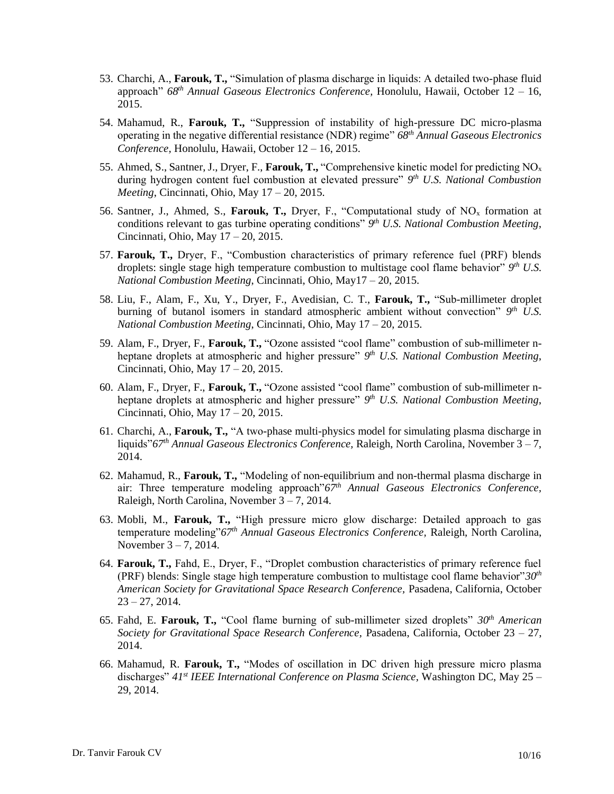- 53. Charchi, A., **Farouk, T.,** "Simulation of plasma discharge in liquids: A detailed two-phase fluid approach" *68th Annual Gaseous Electronics Conference,* Honolulu, Hawaii, October 12 – 16, 2015.
- 54. Mahamud, R., **Farouk, T.,** "Suppression of instability of high-pressure DC micro-plasma operating in the negative differential resistance (NDR) regime" *68th Annual Gaseous Electronics Conference,* Honolulu, Hawaii, October 12 – 16, 2015.
- 55. Ahmed, S., Santner, J., Dryer, F., **Farouk, T.,** "Comprehensive kinetic model for predicting NO<sup>x</sup> during hydrogen content fuel combustion at elevated pressure" *9 th U.S. National Combustion Meeting*, Cincinnati, Ohio, May 17 – 20, 2015.
- 56. Santner, J., Ahmed, S., **Farouk, T.,** Dryer, F., "Computational study of NO<sup>x</sup> formation at conditions relevant to gas turbine operating conditions" *9 th U.S. National Combustion Meeting*, Cincinnati, Ohio, May 17 – 20, 2015.
- 57. **Farouk, T.,** Dryer, F., "Combustion characteristics of primary reference fuel (PRF) blends droplets: single stage high temperature combustion to multistage cool flame behavior" *9 th U.S. National Combustion Meeting*, Cincinnati, Ohio, May17 – 20, 2015.
- 58. Liu, F., Alam, F., Xu, Y., Dryer, F., Avedisian, C. T., **Farouk, T.,** "Sub-millimeter droplet burning of butanol isomers in standard atmospheric ambient without convection"  $9<sup>th</sup>$  U.S. *National Combustion Meeting*, Cincinnati, Ohio, May 17 – 20, 2015.
- 59. Alam, F., Dryer, F., **Farouk, T.,** "Ozone assisted "cool flame" combustion of sub-millimeter nheptane droplets at atmospheric and higher pressure" *9 th U.S. National Combustion Meeting*, Cincinnati, Ohio, May 17 – 20, 2015.
- 60. Alam, F., Dryer, F., **Farouk, T.,** "Ozone assisted "cool flame" combustion of sub-millimeter nheptane droplets at atmospheric and higher pressure"  $9<sup>th</sup>$  *U.S. National Combustion Meeting*, Cincinnati, Ohio, May 17 – 20, 2015.
- 61. Charchi, A., **Farouk, T.,** "A two-phase multi-physics model for simulating plasma discharge in liquids"*67th Annual Gaseous Electronics Conference,* Raleigh, North Carolina, November 3 – 7, 2014.
- 62. Mahamud, R., **Farouk, T.,** "Modeling of non-equilibrium and non-thermal plasma discharge in air: Three temperature modeling approach"*67th Annual Gaseous Electronics Conference,*  Raleigh, North Carolina, November 3 – 7, 2014.
- 63. Mobli, M., **Farouk, T.,** "High pressure micro glow discharge: Detailed approach to gas temperature modeling"*67th Annual Gaseous Electronics Conference,* Raleigh, North Carolina, November 3 – 7, 2014.
- 64. **Farouk, T.,** Fahd, E., Dryer, F., "Droplet combustion characteristics of primary reference fuel (PRF) blends: Single stage high temperature combustion to multistage cool flame behavior"*30th American Society for Gravitational Space Research Conference,* Pasadena, California, October  $23 - 27, 2014.$
- 65. Fahd, E. **Farouk, T.,** "Cool flame burning of sub-millimeter sized droplets" *30th American Society for Gravitational Space Research Conference,* Pasadena, California, October 23 – 27, 2014.
- 66. Mahamud, R. **Farouk, T.,** "Modes of oscillation in DC driven high pressure micro plasma discharges" *41st IEEE International Conference on Plasma Science,* Washington DC, May 25 – 29, 2014.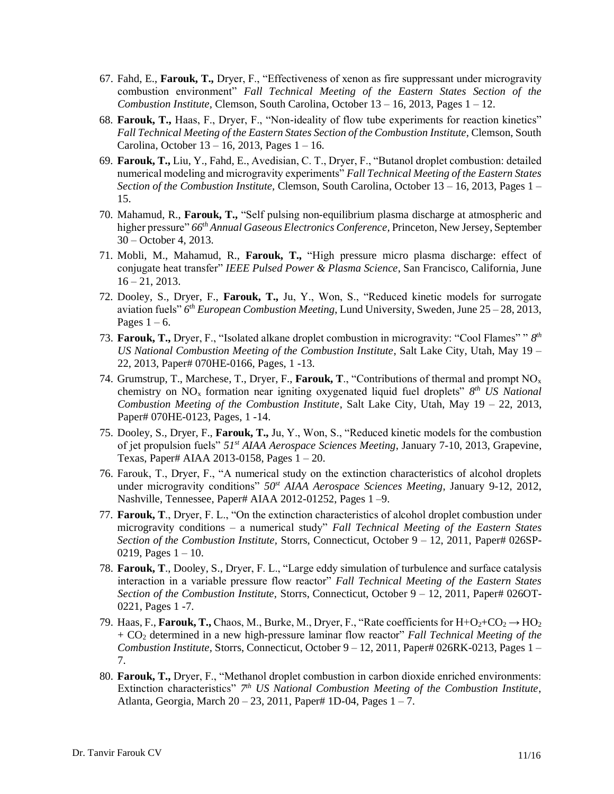- 67. Fahd, E., **Farouk, T.,** Dryer, F., "Effectiveness of xenon as fire suppressant under microgravity combustion environment" *Fall Technical Meeting of the Eastern States Section of the Combustion Institute,* Clemson, South Carolina, October 13 – 16, 2013, Pages 1 – 12.
- 68. **Farouk, T.,** Haas, F., Dryer, F., "Non-ideality of flow tube experiments for reaction kinetics" Fall Technical Meeting of the Eastern States Section of the Combustion Institute, Clemson, South Carolina, October 13 – 16, 2013, Pages 1 – 16.
- 69. **Farouk, T.,** Liu, Y., Fahd, E., Avedisian, C. T., Dryer, F., "Butanol droplet combustion: detailed numerical modeling and microgravity experiments" *Fall Technical Meeting of the Eastern States Section of the Combustion Institute,* Clemson, South Carolina, October 13 – 16, 2013, Pages 1 – 15.
- 70. Mahamud, R., **Farouk, T.,** "Self pulsing non-equilibrium plasma discharge at atmospheric and higher pressure" *66th Annual Gaseous Electronics Conference,* Princeton, New Jersey, September 30 – October 4, 2013.
- 71. Mobli, M., Mahamud, R., **Farouk, T.,** "High pressure micro plasma discharge: effect of conjugate heat transfer" *IEEE Pulsed Power & Plasma Science*, San Francisco, California, June  $16 - 21$ , 2013.
- 72. Dooley, S., Dryer, F., **Farouk, T.,** Ju, Y., Won, S., "Reduced kinetic models for surrogate aviation fuels" *6 th European Combustion Meeting*, Lund University, Sweden, June 25 – 28, 2013, Pages  $1 - 6$ .
- 73. **Farouk, T.,** Dryer, F., "Isolated alkane droplet combustion in microgravity: "Cool Flames" " *8 th US National Combustion Meeting of the Combustion Institute*, Salt Lake City, Utah, May 19 – 22, 2013, Paper# 070HE-0166, Pages, 1 -13.
- 74. Grumstrup, T., Marchese, T., Dryer, F., **Farouk, T**., "Contributions of thermal and prompt NO<sup>x</sup> chemistry on NO<sub>x</sub> formation near igniting oxygenated liquid fuel droplets" 8<sup>th</sup> US National *Combustion Meeting of the Combustion Institute*, Salt Lake City, Utah, May 19 – 22, 2013, Paper# 070HE-0123, Pages, 1 -14.
- 75. Dooley, S., Dryer, F., **Farouk, T.,** Ju, Y., Won, S., "Reduced kinetic models for the combustion of jet propulsion fuels" *51st AIAA Aerospace Sciences Meeting*, January 7-10, 2013, Grapevine, Texas, Paper# AIAA 2013-0158, Pages 1 – 20.
- 76. Farouk, T., Dryer, F., "A numerical study on the extinction characteristics of alcohol droplets under microgravity conditions" *50st AIAA Aerospace Sciences Meeting*, January 9-12, 2012, Nashville, Tennessee, Paper# AIAA 2012-01252, Pages 1 –9.
- 77. **Farouk, T**., Dryer, F. L., "On the extinction characteristics of alcohol droplet combustion under microgravity conditions – a numerical study" *Fall Technical Meeting of the Eastern States Section of the Combustion Institute,* Storrs, Connecticut, October 9 – 12, 2011, Paper# 026SP-0219, Pages  $1 - 10$ .
- 78. **Farouk, T**., Dooley, S., Dryer, F. L., "Large eddy simulation of turbulence and surface catalysis interaction in a variable pressure flow reactor" *Fall Technical Meeting of the Eastern States Section of the Combustion Institute,* Storrs, Connecticut, October 9 – 12, 2011, Paper# 026OT-0221, Pages 1 -7.
- 79. Haas, F., **Farouk, T.,** Chaos, M., Burke, M., Dryer, F., "Rate coefficients for  $H+O<sub>2</sub>+CO<sub>2</sub> \rightarrow HO<sub>2</sub>$ + CO<sup>2</sup> determined in a new high-pressure laminar flow reactor" *Fall Technical Meeting of the Combustion Institute,* Storrs, Connecticut, October 9 – 12, 2011, Paper# 026RK-0213, Pages 1 – 7.
- 80. **Farouk, T.,** Dryer, F., "Methanol droplet combustion in carbon dioxide enriched environments: Extinction characteristics" 7<sup>th</sup> US National Combustion Meeting of the Combustion Institute, Atlanta, Georgia, March 20 – 23, 2011, Paper# 1D-04, Pages 1 – 7.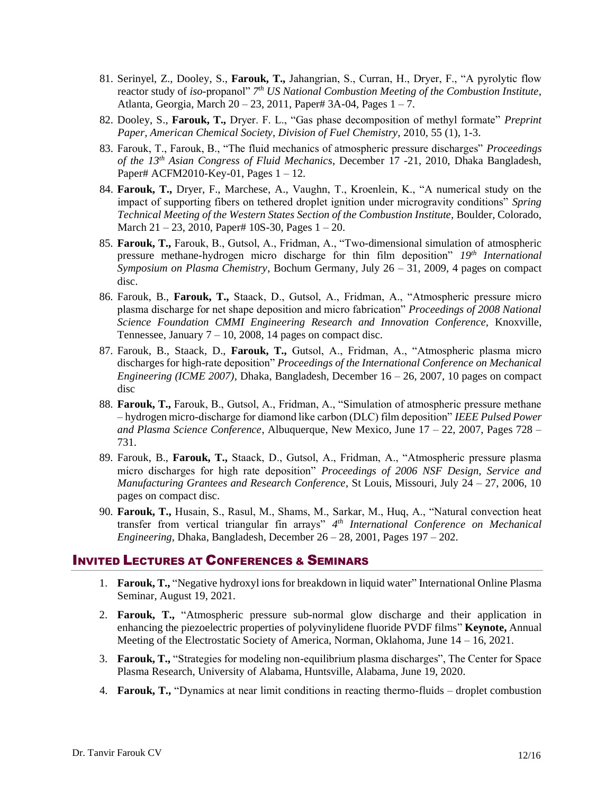- 81. Serinyel, Z., Dooley, S., **Farouk, T.,** Jahangrian, S., Curran, H., Dryer, F., "A pyrolytic flow reactor study of *iso*-propanol" *7 th US National Combustion Meeting of the Combustion Institute*, Atlanta, Georgia, March 20 – 23, 2011, Paper# 3A-04, Pages 1 – 7.
- 82. Dooley, S., **Farouk, T.,** Dryer. F. L., "Gas phase decomposition of methyl formate" *Preprint Paper, American Chemical Society, Division of Fuel Chemistry,* 2010, 55 (1), 1-3.
- 83. Farouk, T., Farouk, B., "The fluid mechanics of atmospheric pressure discharges" *Proceedings of the 13 th Asian Congress of Fluid Mechanics*, December 17 -21, 2010, Dhaka Bangladesh, Paper# ACFM2010-Key-01, Pages 1 – 12.
- 84. **Farouk, T.,** Dryer, F., Marchese, A., Vaughn, T., Kroenlein, K., "A numerical study on the impact of supporting fibers on tethered droplet ignition under microgravity conditions" *Spring Technical Meeting of the Western States Section of the Combustion Institute,* Boulder, Colorado, March 21 – 23, 2010, Paper# 10S-30, Pages 1 – 20.
- 85. **Farouk, T.,** Farouk, B., Gutsol, A., Fridman, A., "Two-dimensional simulation of atmospheric pressure methane-hydrogen micro discharge for thin film deposition" *19th International Symposium on Plasma Chemistry*, Bochum Germany, July 26 – 31, 2009, 4 pages on compact disc.
- 86. Farouk, B., **Farouk, T.,** Staack, D., Gutsol, A., Fridman, A., "Atmospheric pressure micro plasma discharge for net shape deposition and micro fabrication" *Proceedings of 2008 National Science Foundation CMMI Engineering Research and Innovation Conference,* Knoxville, Tennessee, January  $7 - 10$ , 2008, 14 pages on compact disc.
- 87. Farouk, B., Staack, D., **Farouk, T.,** Gutsol, A., Fridman, A., "Atmospheric plasma micro discharges for high-rate deposition" *Proceedings of the International Conference on Mechanical Engineering (ICME 2007)*, Dhaka, Bangladesh, December 16 – 26, 2007, 10 pages on compact disc
- 88. **Farouk, T.,** Farouk, B., Gutsol, A., Fridman, A., "Simulation of atmospheric pressure methane – hydrogen micro-discharge for diamond like carbon (DLC) film deposition" *IEEE Pulsed Power and Plasma Science Conference*, Albuquerque, New Mexico, June 17 – 22, 2007, Pages 728 – 731.
- 89. Farouk, B., **Farouk, T.,** Staack, D., Gutsol, A., Fridman, A., "Atmospheric pressure plasma micro discharges for high rate deposition" *Proceedings of 2006 NSF Design, Service and Manufacturing Grantees and Research Conference*, St Louis, Missouri, July 24 – 27, 2006, 10 pages on compact disc.
- 90. **Farouk, T.,** Husain, S., Rasul, M., Shams, M., Sarkar, M., Huq, A., "Natural convection heat transfer from vertical triangular fin arrays" *4 th International Conference on Mechanical Engineering*, Dhaka, Bangladesh, December 26 – 28, 2001, Pages 197 – 202.

## INVITED LECTURES AT CONFERENCES & SEMINARS

- 1. **Farouk, T.,** "Negative hydroxyl ions for breakdown in liquid water" International Online Plasma Seminar, August 19, 2021.
- 2. **Farouk, T.,** "Atmospheric pressure sub-normal glow discharge and their application in enhancing the piezoelectric properties of polyvinylidene fluoride PVDF films" **Keynote,** Annual Meeting of the Electrostatic Society of America, Norman, Oklahoma, June 14 – 16, 2021.
- 3. **Farouk, T.,** "Strategies for modeling non-equilibrium plasma discharges", The Center for Space Plasma Research, University of Alabama, Huntsville, Alabama, June 19, 2020.
- 4. **Farouk, T.,** "Dynamics at near limit conditions in reacting thermo-fluids droplet combustion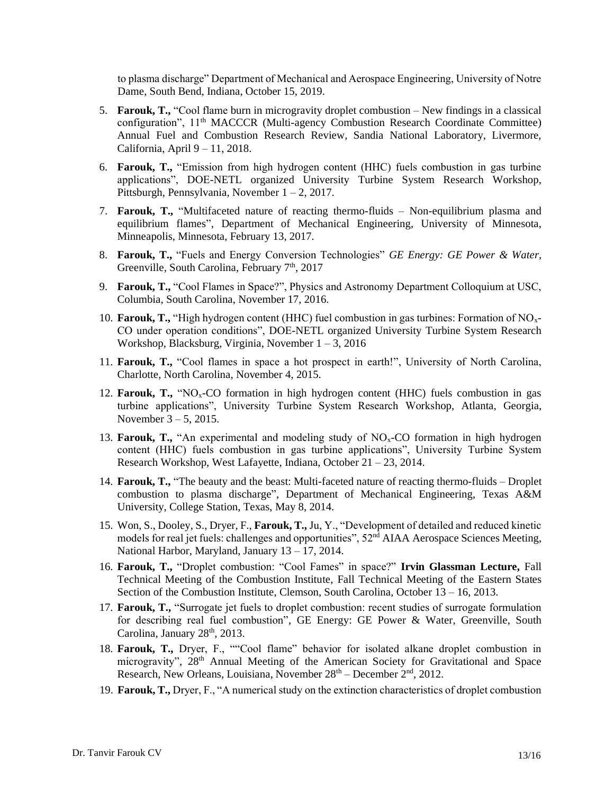to plasma discharge" Department of Mechanical and Aerospace Engineering, University of Notre Dame, South Bend, Indiana, October 15, 2019.

- 5. **Farouk, T.,** "Cool flame burn in microgravity droplet combustion New findings in a classical configuration", 11th MACCCR (Multi-agency Combustion Research Coordinate Committee) Annual Fuel and Combustion Research Review, Sandia National Laboratory, Livermore, California, April 9 – 11, 2018.
- 6. **Farouk, T.,** "Emission from high hydrogen content (HHC) fuels combustion in gas turbine applications", DOE-NETL organized University Turbine System Research Workshop, Pittsburgh, Pennsylvania, November 1 – 2, 2017.
- 7. **Farouk, T.,** "Multifaceted nature of reacting thermo-fluids Non-equilibrium plasma and equilibrium flames", Department of Mechanical Engineering, University of Minnesota, Minneapolis, Minnesota, February 13, 2017.
- 8. **Farouk, T.,** "Fuels and Energy Conversion Technologies" *GE Energy: GE Power & Water,*  Greenville, South Carolina, February 7<sup>th</sup>, 2017
- 9. **Farouk, T.,** "Cool Flames in Space?", Physics and Astronomy Department Colloquium at USC, Columbia, South Carolina, November 17, 2016.
- 10. **Farouk, T.,** "High hydrogen content (HHC) fuel combustion in gas turbines: Formation of NOx-CO under operation conditions", DOE-NETL organized University Turbine System Research Workshop, Blacksburg, Virginia, November 1 – 3, 2016
- 11. **Farouk, T.,** "Cool flames in space a hot prospect in earth!", University of North Carolina, Charlotte, North Carolina, November 4, 2015.
- 12. **Farouk, T.,** "NO<sub>x</sub>-CO formation in high hydrogen content (HHC) fuels combustion in gas turbine applications", University Turbine System Research Workshop, Atlanta, Georgia, November 3 – 5, 2015.
- 13. **Farouk, T.,** "An experimental and modeling study of NOx-CO formation in high hydrogen content (HHC) fuels combustion in gas turbine applications", University Turbine System Research Workshop, West Lafayette, Indiana, October 21 – 23, 2014.
- 14. **Farouk, T.,** "The beauty and the beast: Multi-faceted nature of reacting thermo-fluids Droplet combustion to plasma discharge", Department of Mechanical Engineering, Texas A&M University, College Station, Texas, May 8, 2014.
- 15. Won, S., Dooley, S., Dryer, F., **Farouk, T.,** Ju, Y., "Development of detailed and reduced kinetic models for real jet fuels: challenges and opportunities", 52<sup>nd</sup> AIAA Aerospace Sciences Meeting, National Harbor, Maryland, January 13 – 17, 2014.
- 16. **Farouk, T.,** "Droplet combustion: "Cool Fames" in space?" **Irvin Glassman Lecture,** Fall Technical Meeting of the Combustion Institute, Fall Technical Meeting of the Eastern States Section of the Combustion Institute, Clemson, South Carolina, October 13 – 16, 2013.
- 17. **Farouk, T.,** "Surrogate jet fuels to droplet combustion: recent studies of surrogate formulation for describing real fuel combustion", GE Energy: GE Power & Water, Greenville, South Carolina, January 28<sup>th</sup>, 2013.
- 18. **Farouk, T.,** Dryer, F., ""Cool flame" behavior for isolated alkane droplet combustion in microgravity", 28<sup>th</sup> Annual Meeting of the American Society for Gravitational and Space Research, New Orleans, Louisiana, November  $28<sup>th</sup>$  – December  $2<sup>nd</sup>$ , 2012.
- 19. **Farouk, T.,** Dryer, F., "A numerical study on the extinction characteristics of droplet combustion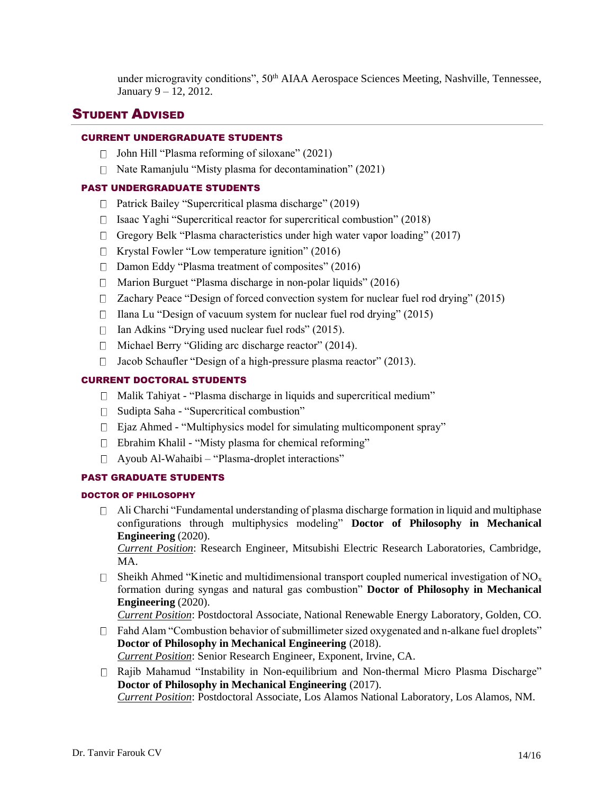under microgravity conditions", 50<sup>th</sup> AIAA Aerospace Sciences Meeting, Nashville, Tennessee, January 9 – 12, 2012.

## STUDENT ADVISED

## CURRENT UNDERGRADUATE STUDENTS

- $\Box$  John Hill "Plasma reforming of siloxane" (2021)
- $\Box$  Nate Ramanjulu "Misty plasma for decontamination" (2021)

## PAST UNDERGRADUATE STUDENTS

- □ Patrick Bailey "Supercritical plasma discharge" (2019)
- $\Box$  Isaac Yaghi "Supercritical reactor for supercritical combustion" (2018)
- $\Box$  Gregory Belk "Plasma characteristics under high water vapor loading" (2017)
- $\Box$  Krystal Fowler "Low temperature ignition" (2016)
- $\Box$  Damon Eddy "Plasma treatment of composites" (2016)
- $\Box$  Marion Burguet "Plasma discharge in non-polar liquids" (2016)
- $\Box$  Zachary Peace "Design of forced convection system for nuclear fuel rod drying" (2015)
- $\Box$  Ilana Lu "Design of vacuum system for nuclear fuel rod drying" (2015)
- $\Box$  Ian Adkins "Drying used nuclear fuel rods" (2015).
- $\Box$  Michael Berry "Gliding arc discharge reactor" (2014).
- $\Box$  Jacob Schaufler "Design of a high-pressure plasma reactor" (2013).

## CURRENT DOCTORAL STUDENTS

- $\Box$  Malik Tahiyat "Plasma discharge in liquids and supercritical medium"
- $\Box$  Sudipta Saha "Supercritical combustion"
- $\Box$  Ejaz Ahmed "Multiphysics model for simulating multicomponent spray"
- $\Box$  Ebrahim Khalil "Misty plasma for chemical reforming"
- □ Ayoub Al-Wahaibi "Plasma-droplet interactions"

## PAST GRADUATE STUDENTS

## DOCTOR OF PHILOSOPHY

 $\Box$  Ali Charchi "Fundamental understanding of plasma discharge formation in liquid and multiphase configurations through multiphysics modeling" **Doctor of Philosophy in Mechanical Engineering** (2020).

*Current Position*: Research Engineer, Mitsubishi Electric Research Laboratories, Cambridge, MA.

 $\Box$  Sheikh Ahmed "Kinetic and multidimensional transport coupled numerical investigation of NO<sub>x</sub> formation during syngas and natural gas combustion" **Doctor of Philosophy in Mechanical Engineering** (2020).

*Current Position*: Postdoctoral Associate, National Renewable Energy Laboratory, Golden, CO.

- $\Box$  Fahd Alam "Combustion behavior of submillimeter sized oxygenated and n-alkane fuel droplets" **Doctor of Philosophy in Mechanical Engineering** (2018). *Current Position*: Senior Research Engineer, Exponent, Irvine, CA.
- Rajib Mahamud "Instability in Non-equilibrium and Non-thermal Micro Plasma Discharge" **Doctor of Philosophy in Mechanical Engineering** (2017). *Current Position*: Postdoctoral Associate, Los Alamos National Laboratory, Los Alamos, NM.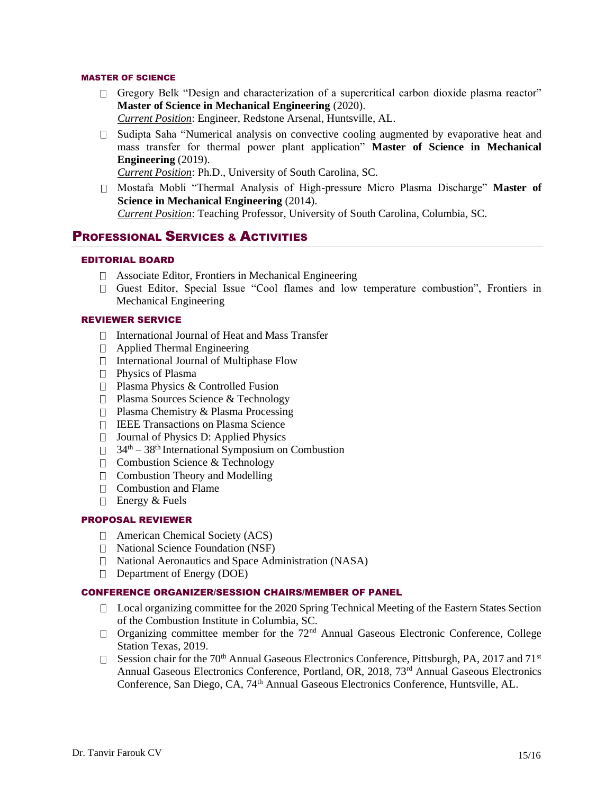## MASTER OF SCIENCE

- Gregory Belk "Design and characterization of a supercritical carbon dioxide plasma reactor" **Master of Science in Mechanical Engineering** (2020). *Current Position*: Engineer, Redstone Arsenal, Huntsville, AL.
- Sudipta Saha "Numerical analysis on convective cooling augmented by evaporative heat and mass transfer for thermal power plant application" **Master of Science in Mechanical Engineering** (2019).

*Current Position*: Ph.D., University of South Carolina, SC.

Mostafa Mobli "Thermal Analysis of High-pressure Micro Plasma Discharge" **Master of Science in Mechanical Engineering** (2014). *Current Position*: Teaching Professor, University of South Carolina, Columbia, SC.

## PROFESSIONAL SERVICES & ACTIVITIES

## EDITORIAL BOARD

- Associate Editor, Frontiers in Mechanical Engineering
- Guest Editor, Special Issue "Cool flames and low temperature combustion", Frontiers in Mechanical Engineering

### REVIEWER SERVICE

- $\Box$  International Journal of Heat and Mass Transfer
- Applied Thermal Engineering
- $\Box$  International Journal of Multiphase Flow
- □ Physics of Plasma
- □ Plasma Physics & Controlled Fusion
- □ Plasma Sources Science & Technology
- **Plasma Chemistry & Plasma Processing**
- IEEE Transactions on Plasma Science
- $\Box$  Journal of Physics D: Applied Physics
- $\Box$  34<sup>th</sup> 38<sup>th</sup> International Symposium on Combustion
- $\Box$  Combustion Science & Technology
- $\Box$  Combustion Theory and Modelling
- $\Box$  Combustion and Flame
- $\Box$  Energy & Fuels

#### PROPOSAL REVIEWER

- American Chemical Society (ACS)
- $\Box$  National Science Foundation (NSF)
- □ National Aeronautics and Space Administration (NASA)
- □ Department of Energy (DOE)

## CONFERENCE ORGANIZER/SESSION CHAIRS/MEMBER OF PANEL

- $\Box$  Local organizing committee for the 2020 Spring Technical Meeting of the Eastern States Section of the Combustion Institute in Columbia, SC.
- $\Box$  Organizing committee member for the 72<sup>nd</sup> Annual Gaseous Electronic Conference, College Station Texas, 2019.
- Session chair for the 70<sup>th</sup> Annual Gaseous Electronics Conference, Pittsburgh, PA, 2017 and 71<sup>st</sup> Annual Gaseous Electronics Conference, Portland, OR, 2018, 73<sup>rd</sup> Annual Gaseous Electronics Conference, San Diego, CA, 74<sup>th</sup> Annual Gaseous Electronics Conference, Huntsville, AL.